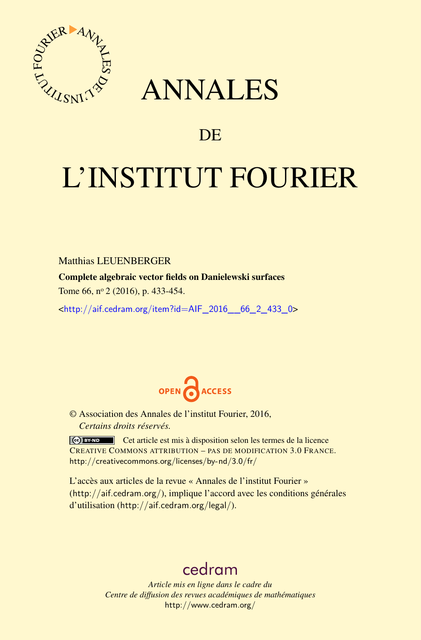

# ANNALES

# **DE**

# L'INSTITUT FOURIER

## Matthias LEUENBERGER

Complete algebraic vector fields on Danielewski surfaces

Tome 66, nº 2 (2016), p. 433-454.

 $\text{chttp:}/\text{/aif.cedram.org/item?id=AlF}$  2016 66 2 433 0>



© Association des Annales de l'institut Fourier, 2016, *Certains droits réservés.*

Cet article est mis à disposition selon les termes de la licence CREATIVE COMMONS ATTRIBUTION – PAS DE MODIFICATION 3.0 FRANCE. <http://creativecommons.org/licenses/by-nd/3.0/fr/>

L'accès aux articles de la revue « Annales de l'institut Fourier » (<http://aif.cedram.org/>), implique l'accord avec les conditions générales d'utilisation (<http://aif.cedram.org/legal/>).

# [cedram](http://www.cedram.org/)

*Article mis en ligne dans le cadre du Centre de diffusion des revues académiques de mathématiques* <http://www.cedram.org/>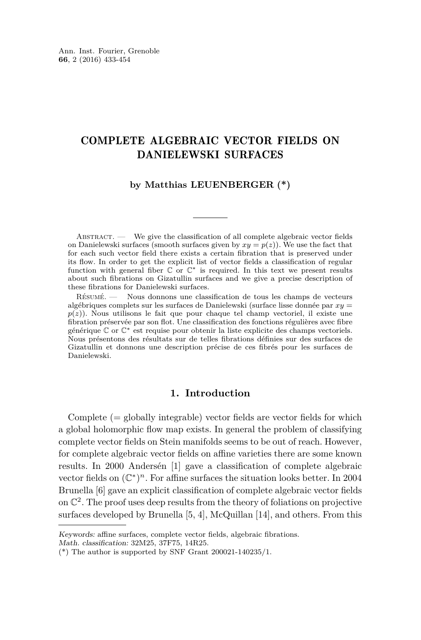# COMPLETE ALGEBRAIC VECTOR FIELDS ON DANIELEWSKI SURFACES

#### **by Matthias LEUENBERGER (\*)**

ABSTRACT. — We give the classification of all complete algebraic vector fields on Danielewski surfaces (smooth surfaces given by  $xy = p(z)$ ). We use the fact that for each such vector field there exists a certain fibration that is preserved under its flow. In order to get the explicit list of vector fields a classification of regular function with general fiber  $\mathbb C$  or  $\mathbb C^*$  is required. In this text we present results about such fibrations on Gizatullin surfaces and we give a precise description of these fibrations for Danielewski surfaces.

Résumé. — Nous donnons une classification de tous les champs de vecteurs algébriques complets sur les surfaces de Danielewski (surface lisse donnée par *xy* =  $p(z)$ ). Nous utilisons le fait que pour chaque tel champ vectoriel, il existe une fibration préservée par son flot. Une classification des fonctions régulières avec fibre générique C or C<sup>∗</sup> est requise pour obtenir la liste explicite des champs vectoriels. Nous présentons des résultats sur de telles fibrations définies sur des surfaces de Gizatullin et donnons une description précise de ces fibrés pour les surfaces de Danielewski.

#### **1. Introduction**

Complete  $(=$  globally integrable) vector fields are vector fields for which a global holomorphic flow map exists. In general the problem of classifying complete vector fields on Stein manifolds seems to be out of reach. However, for complete algebraic vector fields on affine varieties there are some known results. In 2000 Andersén [\[1\]](#page-21-0) gave a classification of complete algebraic vector fields on  $(\mathbb{C}^*)^n$ . For affine surfaces the situation looks better. In 2004 Brunella [\[6\]](#page-21-1) gave an explicit classification of complete algebraic vector fields on C 2 . The proof uses deep results from the theory of foliations on projective surfaces developed by Brunella [\[5,](#page-21-2) [4\]](#page-21-3), McQuillan [\[14\]](#page-22-0), and others. From this

Keywords: affine surfaces, complete vector fields, algebraic fibrations.

Math. classification: 32M25, 37F75, 14R25.

 $(*)$  The author is supported by SNF Grant 200021-140235/1.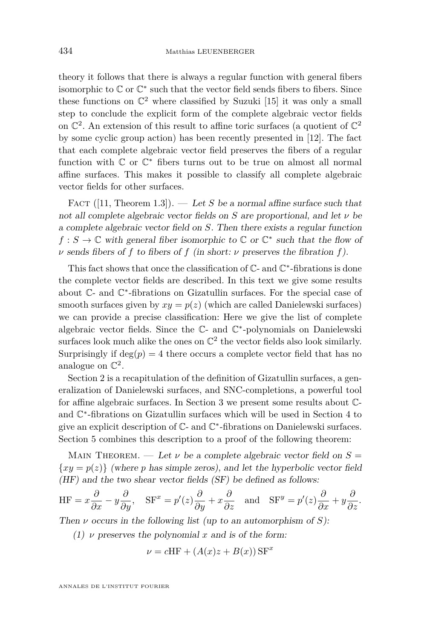theory it follows that there is always a regular function with general fibers isomorphic to  $\mathbb C$  or  $\mathbb C^*$  such that the vector field sends fibers to fibers. Since these functions on  $\mathbb{C}^2$  where classified by Suzuki [\[15\]](#page-22-1) it was only a small step to conclude the explicit form of the complete algebraic vector fields on  $\mathbb{C}^2$ . An extension of this result to affine toric surfaces (a quotient of  $\mathbb{C}^2$ by some cyclic group action) has been recently presented in [\[12\]](#page-22-2). The fact that each complete algebraic vector field preserves the fibers of a regular function with  $\mathbb C$  or  $\mathbb C^*$  fibers turns out to be true on almost all normal affine surfaces. This makes it possible to classify all complete algebraic vector fields for other surfaces.

FACT ([\[11,](#page-21-4) Theorem 1.3]). — Let *S* be a normal affine surface such that not all complete algebraic vector fields on *S* are proportional, and let *ν* be a complete algebraic vector field on *S*. Then there exists a regular function  $f : S \to \mathbb{C}$  with general fiber isomorphic to  $\mathbb{C}$  or  $\mathbb{C}^*$  such that the flow of *ν* sends fibers of *f* to fibers of *f* (in short: *ν* preserves the fibration *f*).

This fact shows that once the classification of  $\mathbb C$ - and  $\mathbb C^*$ -fibrations is done the complete vector fields are described. In this text we give some results about C- and C ∗ -fibrations on Gizatullin surfaces. For the special case of smooth surfaces given by  $xy = p(z)$  (which are called Danielewski surfaces) we can provide a precise classification: Here we give the list of complete algebraic vector fields. Since the C- and C ∗ -polynomials on Danielewski surfaces look much alike the ones on  $\mathbb{C}^2$  the vector fields also look similarly. Surprisingly if  $deg(p) = 4$  there occurs a complete vector field that has no analogue on  $\mathbb{C}^2$ .

Section 2 is a recapitulation of the definition of Gizatullin surfaces, a generalization of Danielewski surfaces, and SNC-completions, a powerful tool for affine algebraic surfaces. In Section 3 we present some results about Cand C ∗ -fibrations on Gizatullin surfaces which will be used in Section 4 to give an explicit description of  $\mathbb{C}$ - and  $\mathbb{C}^*$ -fibrations on Danielewski surfaces. Section 5 combines this description to a proof of the following theorem:

MAIN THEOREM. — Let  $\nu$  be a complete algebraic vector field on  $S =$  ${xy = p(z)}$  (where *p* has simple zeros), and let the hyperbolic vector field (HF) and the two shear vector fields (SF) be defined as follows:

$$
\mathrm{HF}=x\frac{\partial}{\partial x}-y\frac{\partial}{\partial y},\quad \mathrm{SF}^{x}=p^{\prime}(z)\frac{\partial}{\partial y}+x\frac{\partial}{\partial z}\quad \text{and}\quad \mathrm{SF}^{y}=p^{\prime}(z)\frac{\partial}{\partial x}+y\frac{\partial}{\partial z}.
$$

Then *ν* occurs in the following list (up to an automorphism of *S*):

(1)  $\nu$  preserves the polynomial x and is of the form:

$$
\nu = cHF + (A(x)z + B(x)) \text{ SF}^x
$$

ANNALES DE L'INSTITUT FOURIER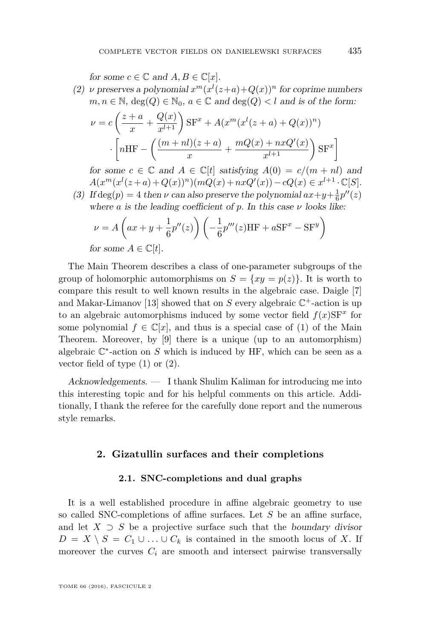for some  $c \in \mathbb{C}$  and  $A, B \in \mathbb{C}[x]$ .

(2) *ν* preserves a polynomial  $x^m(x^l(z+a)+Q(x))^n$  for coprime numbers  $m, n \in \mathbb{N}$ ,  $\deg(Q) \in \mathbb{N}_0$ ,  $a \in \mathbb{C}$  and  $\deg(Q) < l$  and is of the form:

$$
\nu = c \left( \frac{z+a}{x} + \frac{Q(x)}{x^{l+1}} \right) \text{SF}^x + A(x^m (x^l (z+a) + Q(x))^n)
$$

$$
\cdot \left[ n \text{HF} - \left( \frac{(m+nl)(z+a)}{x} + \frac{mQ(x) + nxQ'(x)}{x^{l+1}} \right) \text{SF}^x \right]
$$

for some  $c \in \mathbb{C}$  and  $A \in \mathbb{C}[t]$  satisfying  $A(0) = c/(m + nl)$  and  $A(x^m(x^l(z+a) + Q(x))^n)(mQ(x) + nxQ'(x)) - cQ(x) \in x^{l+1} \cdot \mathbb{C}[S].$ 

(3) If  $deg(p) = 4$  then *v* can also preserve the polynomial  $ax+y+\frac{1}{6}p''(z)$ where *a* is the leading coefficient of *p*. In this case *ν* looks like:

$$
\nu = A\left(ax + y + \frac{1}{6}p''(z)\right)\left(-\frac{1}{6}p'''(z)HF + aSF^x - SF^y\right)
$$

for some  $A \in \mathbb{C}[t]$ .

The Main Theorem describes a class of one-parameter subgroups of the group of holomorphic automorphisms on  $S = \{xy = p(z)\}\.$  It is worth to compare this result to well known results in the algebraic case. Daigle [\[7\]](#page-21-5) and Makar-Limanov [\[13\]](#page-22-3) showed that on  $S$  every algebraic  $\mathbb{C}^+$ -action is up to an algebraic automorphisms induced by some vector field  $f(x)$ SF<sup>x</sup> for some polynomial  $f \in \mathbb{C}[x]$ , and thus is a special case of (1) of the Main Theorem. Moreover, by [\[9\]](#page-21-6) there is a unique (up to an automorphism) algebraic  $\mathbb{C}^*$ -action on  $S$  which is induced by HF, which can be seen as a vector field of type (1) or (2).

Acknowledgements. — I thank Shulim Kaliman for introducing me into this interesting topic and for his helpful comments on this article. Additionally, I thank the referee for the carefully done report and the numerous style remarks.

#### **2. Gizatullin surfaces and their completions**

#### **2.1. SNC-completions and dual graphs**

It is a well established procedure in affine algebraic geometry to use so called SNC-completions of affine surfaces. Let *S* be an affine surface, and let  $X \supset S$  be a projective surface such that the boundary divisor *D* = *X*  $\setminus$  *S* = *C*<sub>1</sub> ∪ *...* ∪ *C*<sub>*k*</sub> is contained in the smooth locus of *X*. If moreover the curves  $C_i$  are smooth and intersect pairwise transversally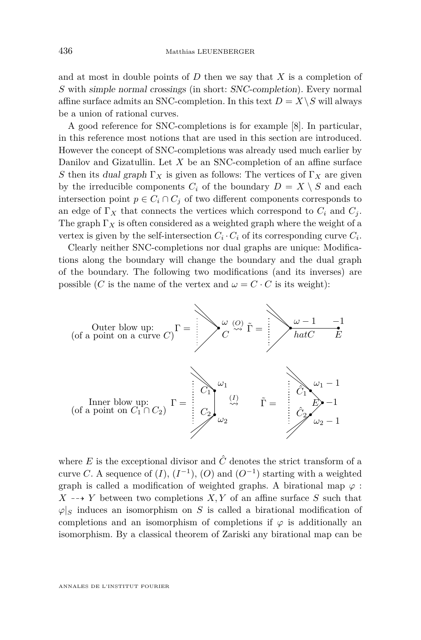and at most in double points of *D* then we say that *X* is a completion of *S* with simple normal crossings (in short: SNC-completion). Every normal affine surface admits an SNC-completion. In this text  $D = X \setminus S$  will always be a union of rational curves.

A good reference for SNC-completions is for example [\[8\]](#page-21-7). In particular, in this reference most notions that are used in this section are introduced. However the concept of SNC-completions was already used much earlier by Danilov and Gizatullin. Let *X* be an SNC-completion of an affine surface *S* then its dual graph  $\Gamma_X$  is given as follows: The vertices of  $\Gamma_X$  are given by the irreducible components  $C_i$  of the boundary  $D = X \setminus S$  and each intersection point  $p \in C_i \cap C_j$  of two different components corresponds to an edge of  $\Gamma_X$  that connects the vertices which correspond to  $C_i$  and  $C_j$ . The graph  $\Gamma_X$  is often considered as a weighted graph where the weight of a vertex is given by the self-intersection  $C_i \cdot C_i$  of its corresponding curve  $C_i$ .

Clearly neither SNC-completions nor dual graphs are unique: Modifications along the boundary will change the boundary and the dual graph of the boundary. The following two modifications (and its inverses) are possible (*C* is the name of the vertex and  $\omega = C \cdot C$  is its weight):



where  $E$  is the exceptional divisor and  $\hat{C}$  denotes the strict transform of a curve *C*. A sequence of  $(I)$ ,  $(I^{-1})$ ,  $(O)$  and  $(O^{-1})$  starting with a weighted graph is called a modification of weighted graphs. A birational map  $\varphi$ :  $X \rightarrow Y$  between two completions *X, Y* of an affine surface *S* such that  $\varphi|_S$  induces an isomorphism on *S* is called a birational modification of completions and an isomorphism of completions if  $\varphi$  is additionally an isomorphism. By a classical theorem of Zariski any birational map can be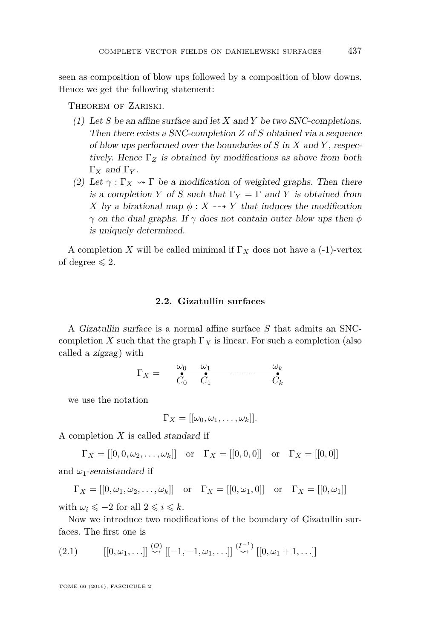seen as composition of blow ups followed by a composition of blow downs. Hence we get the following statement:

Theorem of Zariski.

- (1) Let *S* be an affine surface and let *X* and *Y* be two SNC-completions. Then there exists a SNC-completion *Z* of *S* obtained via a sequence of blow ups performed over the boundaries of *S* in *X* and *Y* , respectively. Hence  $\Gamma_Z$  is obtained by modifications as above from both Γ*<sup>X</sup>* and Γ*<sup>Y</sup>* .
- (2) Let  $\gamma : \Gamma_X \to \Gamma$  be a modification of weighted graphs. Then there is a completion *Y* of *S* such that  $\Gamma_Y = \Gamma$  and *Y* is obtained from *X* by a birational map  $\phi: X \dashrightarrow Y$  that induces the modification *γ* on the dual graphs. If *γ* does not contain outer blow ups then *φ* is uniquely determined.

A completion *X* will be called minimal if  $\Gamma_X$  does not have a (-1)-vertex of degree  $\leq 2$ .

#### **2.2. Gizatullin surfaces**

A Gizatullin surface is a normal affine surface *S* that admits an SNCcompletion *X* such that the graph  $\Gamma_X$  is linear. For such a completion (also called a zigzag) with

$$
\Gamma_X = \underbrace{\overset{\omega_0}{\bullet} \overset{\omega_1}{\bullet}}_{C_0 \quad C_1} \underbrace{\overset{\omega_k}{\bullet}}_{C_k}
$$

we use the notation

$$
\Gamma_X = [[\omega_0, \omega_1, \ldots, \omega_k]].
$$

A completion *X* is called standard if

$$
\Gamma_X = [[0, 0, \omega_2, \dots, \omega_k]]
$$
 or  $\Gamma_X = [[0, 0, 0]]$  or  $\Gamma_X = [[0, 0]]$ 

and  $\omega_1$ -semistandard if

$$
\Gamma_X = [[0, \omega_1, \omega_2, \dots, \omega_k]] \quad \text{or} \quad \Gamma_X = [[0, \omega_1, 0]] \quad \text{or} \quad \Gamma_X = [[0, \omega_1]]
$$

with  $\omega_i \leq -2$  for all  $2 \leq i \leq k$ .

Now we introduce two modifications of the boundary of Gizatullin surfaces. The first one is

<span id="page-5-0"></span>(2.1) 
$$
[[0, \omega_1, \ldots]] \stackrel{(O)}{\rightsquigarrow} [[-1, -1, \omega_1, \ldots]] \stackrel{(I^{-1})}{\rightsquigarrow} [[0, \omega_1 + 1, \ldots]]
$$

TOME 66 (2016), FASCICULE 2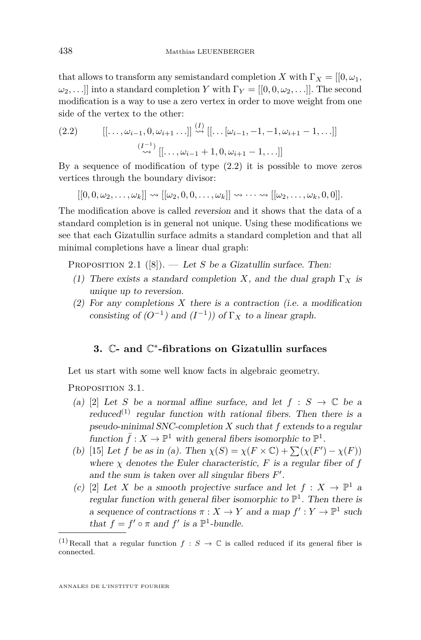that allows to transform any semistandard completion *X* with  $\Gamma_X = [[0, \omega_1,$  $\omega_2$ , ...] into a standard completion *Y* with  $\Gamma_Y = [[0, 0, \omega_2, \ldots]]$ . The second modification is a way to use a zero vertex in order to move weight from one side of the vertex to the other:

<span id="page-6-0"></span>(2.2) 
$$
[[\ldots,\omega_{i-1},0,\omega_{i+1} \ldots]] \stackrel{(I)}{\rightsquigarrow} [[\ldots[\omega_{i-1},-1,-1,\omega_{i+1}-1,\ldots]] \sim \sum_{i=1}^{(I^{-1})} [[\ldots,\omega_{i-1}+1,0,\omega_{i+1}-1,\ldots]]
$$

By a sequence of modification of type [\(2.2\)](#page-6-0) it is possible to move zeros vertices through the boundary divisor:

 $[[0,0,\omega_2,\ldots,\omega_k]] \rightsquigarrow [[\omega_2,0,0,\ldots,\omega_k]] \rightsquigarrow \cdots \rightsquigarrow [[\omega_2,\ldots,\omega_k,0,0]].$ 

The modification above is called reversion and it shows that the data of a standard completion is in general not unique. Using these modifications we see that each Gizatullin surface admits a standard completion and that all minimal completions have a linear dual graph:

<span id="page-6-2"></span>PROPOSITION 2.1  $([8])$  $([8])$  $([8])$ . — Let *S* be a Gizatullin surface. Then:

- (1) There exists a standard completion *X*, and the dual graph  $\Gamma_X$  is unique up to reversion.
- (2) For any completions *X* there is a contraction (i.e. a modification consisting of  $(O^{-1})$  and  $(I^{-1})$  of  $\Gamma_X$  to a linear graph.

# **3.** C**- and** C ∗ **-fibrations on Gizatullin surfaces**

Let us start with some well know facts in algebraic geometry.

<span id="page-6-1"></span>PROPOSITION 3.1.

- (a) [\[2\]](#page-21-8) Let *S* be a normal affine surface, and let  $f : S \to \mathbb{C}$  be a reduced<sup>(1)</sup> regular function with rational fibers. Then there is a pseudo-minimal SNC-completion *X* such that *f* extends to a regular function  $\bar{f}: X \to \mathbb{P}^1$  with general fibers isomorphic to  $\mathbb{P}^1$ .
- (b) [\[15\]](#page-22-1) Let *f* be as in (a). Then  $\chi(S) = \chi(F \times \mathbb{C}) + \sum(\chi(F') \chi(F))$ where  $\chi$  denotes the Euler characteristic,  $F$  is a regular fiber of  $f$ and the sum is taken over all singular fibers  $F'$ .
- (c) [\[2\]](#page-21-8) Let *X* be a smooth projective surface and let  $f: X \to \mathbb{P}^1$  a regular function with general fiber isomorphic to  $\mathbb{P}^1$ . Then there is a sequence of contractions  $\pi : X \to Y$  and a map  $f' : Y \to \mathbb{P}^1$  such that  $f = f' \circ \pi$  and  $f'$  is a  $\mathbb{P}^1$ -bundle.

<sup>&</sup>lt;sup>(1)</sup>Recall that a regular function  $f : S \to \mathbb{C}$  is called reduced if its general fiber is connected.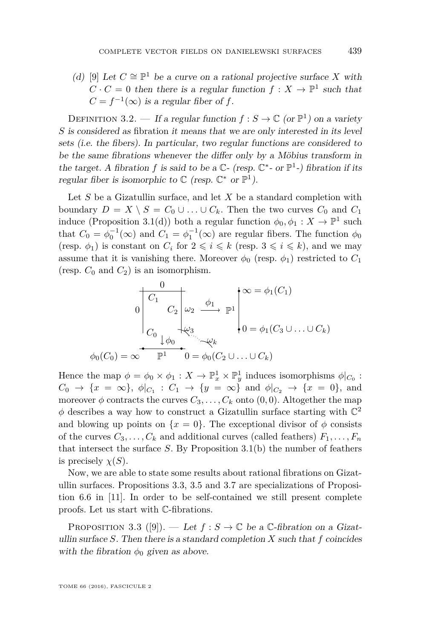(d) [\[9\]](#page-21-6) Let  $C \cong \mathbb{P}^1$  be a curve on a rational projective surface *X* with  $C \cdot C = 0$  then there is a regular function  $f: X \to \mathbb{P}^1$  such that  $C = f^{-1}(\infty)$  is a regular fiber of *f*.

DEFINITION 3.2. — If a regular function  $f : S \to \mathbb{C}$  (or  $\mathbb{P}^1$ ) on a variety *S* is considered as fibration it means that we are only interested in its level sets (i.e. the fibers). In particular, two regular functions are considered to be the same fibrations whenever the differ only by a Möbius transform in the target. A fibration f is said to be a  $\mathbb{C}$ - (resp.  $\mathbb{C}^*$ - or  $\mathbb{P}^1$ -) fibration if its regular fiber is isomorphic to  $\mathbb C$  (resp.  $\mathbb C^*$  or  $\mathbb P^1$ ).

Let *S* be a Gizatullin surface, and let *X* be a standard completion with boundary  $D = X \setminus S = C_0 \cup \ldots \cup C_k$ . Then the two curves  $C_0$  and  $C_1$ induce (Proposition [3.1\(](#page-6-1)d)) both a regular function  $\phi_0, \phi_1 : X \to \mathbb{P}^1$  such that  $C_0 = \phi_0^{-1}(\infty)$  and  $C_1 = \phi_1^{-1}(\infty)$  are regular fibers. The function  $\phi_0$ (resp.  $\phi_1$ ) is constant on  $C_i$  for  $2 \leq i \leq k$  (resp.  $3 \leq i \leq k$ ), and we may assume that it is vanishing there. Moreover  $\phi_0$  (resp.  $\phi_1$ ) restricted to  $C_1$ (resp.  $C_0$  and  $C_2$ ) is an isomorphism.

$$
\begin{array}{ccc}\n0 & & \downarrow & \infty = \phi_1(C_1) \\
0 & C_2 & \downarrow & \downarrow & \infty \\
C_0 & \downarrow & \downarrow & \downarrow & \downarrow & \downarrow \\
C_0 & \downarrow & \downarrow & \downarrow & \downarrow & \downarrow \\
\phi_0(C_0) = \infty & \mathbb{P}^1 & 0 = \phi_0(C_2 \cup \ldots \cup C_k) \\
\end{array}
$$

Hence the map  $\phi = \phi_0 \times \phi_1 : X \to \mathbb{P}^1_x \times \mathbb{P}^1_y$  induces isomorphisms  $\phi|_{C_0}$ :  $C_0 \to \{x = \infty\}, \ \phi|_{C_1} : C_1 \to \{y = \infty\} \text{ and } \phi|_{C_2} \to \{x = 0\}, \text{ and}$ moreover  $\phi$  contracts the curves  $C_3, \ldots, C_k$  onto  $(0,0)$ . Altogether the map  $\phi$  describes a way how to construct a Gizatullin surface starting with  $\mathbb{C}^2$ and blowing up points on  $\{x = 0\}$ . The exceptional divisor of  $\phi$  consists of the curves  $C_3, \ldots, C_k$  and additional curves (called feathers)  $F_1, \ldots, F_n$ that intersect the surface  $S$ . By Proposition [3.1\(](#page-6-1)b) the number of feathers is precisely  $\chi(S)$ .

Now, we are able to state some results about rational fibrations on Gizatullin surfaces. Propositions [3.3,](#page-7-0) [3.5](#page-8-0) and [3.7](#page-10-0) are specializations of Proposition 6.6 in [\[11\]](#page-21-4). In order to be self-contained we still present complete proofs. Let us start with C-fibrations.

<span id="page-7-0"></span>PROPOSITION 3.3 ([\[9\]](#page-21-6)). — Let  $f : S \to \mathbb{C}$  be a  $\mathbb{C}\text{-fibration on a Gizat-}$ ullin surface  $S$ . Then there is a standard completion  $X$  such that  $f$  coincides with the fibration  $\phi_0$  given as above.

TOME 66 (2016), FASCICULE 2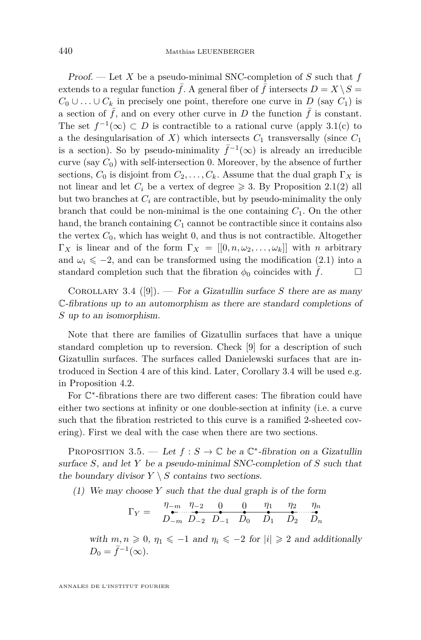Proof. — Let *X* be a pseudo-minimal SNC-completion of *S* such that *f* extends to a regular function  $\bar{f}$ . A general fiber of  $\bar{f}$  intersects  $D = X \setminus S =$ *C*<sub>0</sub> ∪ *...* ∪ *C*<sub>*k*</sub> in precisely one point, therefore one curve in *D* (say *C*<sub>1</sub>) is a section of  $\bar{f}$ , and on every other curve in *D* the function  $\bar{f}$  is constant. The set  $f^{-1}(\infty) \subset D$  is contractible to a rational curve (apply [3.1\(](#page-6-1)c) to a the desingularisation of *X*) which intersects  $C_1$  transversally (since  $C_1$ is a section). So by pseudo-minimality  $\bar{f}^{-1}(\infty)$  is already an irreducible curve (say  $C_0$ ) with self-intersection 0. Moreover, by the absence of further sections,  $C_0$  is disjoint from  $C_2, \ldots, C_k$ . Assume that the dual graph  $\Gamma_X$  is not linear and let  $C_i$  be a vertex of degree  $\geqslant$  3. By Proposition [2.1\(](#page-6-2)2) all but two branches at  $C_i$  are contractible, but by pseudo-minimality the only branch that could be non-minimal is the one containing  $C_1$ . On the other hand, the branch containing  $C_1$  cannot be contractible since it contains also the vertex  $C_0$ , which has weight 0, and thus is not contractible. Altogether Γ*X* is linear and of the form  $\Gamma_X = [[0, n, \omega_2, \dots, \omega_k]]$  with *n* arbitrary and  $\omega_i \leq -2$ , and can be transformed using the modification [\(2.1\)](#page-5-0) into a standard completion such that the fibration  $\phi_0$  coincides with  $f$ .

<span id="page-8-1"></span>COROLLARY 3.4 ([\[9\]](#page-21-6)). — For a Gizatullin surface *S* there are as many C-fibrations up to an automorphism as there are standard completions of *S* up to an isomorphism.

Note that there are families of Gizatullin surfaces that have a unique standard completion up to reversion. Check [\[9\]](#page-21-6) for a description of such Gizatullin surfaces. The surfaces called Danielewski surfaces that are introduced in Section 4 are of this kind. Later, Corollary [3.4](#page-8-1) will be used e.g. in Proposition [4.2.](#page-13-0)

For  $\mathbb{C}^*$ -fibrations there are two different cases: The fibration could have either two sections at infinity or one double-section at infinity (i.e. a curve such that the fibration restricted to this curve is a ramified 2-sheeted covering). First we deal with the case when there are two sections.

<span id="page-8-0"></span>PROPOSITION 3.5. — Let  $f : S \to \mathbb{C}$  be a  $\mathbb{C}^*$ -fibration on a Gizatullin surface *S*, and let *Y* be a pseudo-minimal SNC-completion of *S* such that the boundary divisor  $Y \setminus S$  contains two sections.

(1) We may choose *Y* such that the dual graph is of the form

$$
\Gamma_Y = \begin{array}{c} \eta_{-m} \quad \eta_{-2} \quad 0 \quad 0 \quad \eta_1 \quad \eta_2 \quad \eta_n \\ D_{-m} \quad D_{-2} \quad D_{-1} \quad D_0 \quad D_1 \quad D_2 \quad D_n \end{array}
$$

with  $m, n \geq 0, \eta_1 \leq -1$  and  $\eta_i \leq -2$  for  $|i| \geq 2$  and additionally  $D_0 = \bar{f}^{-1}(\infty).$ 

ANNALES DE L'INSTITUT FOURIER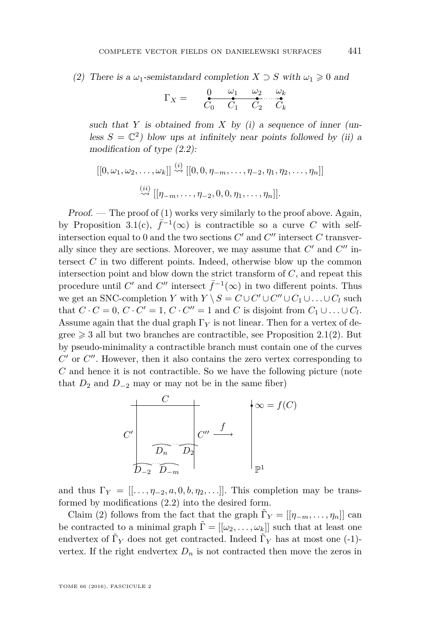(2) There is a  $\omega_1$ -semistandard completion  $X \supset S$  with  $\omega_1 \geq 0$  and

$$
\Gamma_X = \underbrace{\qquad \qquad }_{C_0} \underbrace{\qquad \omega_1 \qquad \omega_2 \qquad \omega_k}_{C_1 \qquad C_2} \cdots \underbrace{\qquad \qquad }_{C_k}
$$

such that  $Y$  is obtained from  $X$  by (i) a sequence of inner (unless  $S = \mathbb{C}^2$ ) blow ups at infinitely near points followed by (ii) a modification of type [\(2.2\)](#page-6-0):

$$
[[0,\omega_1,\omega_2,\ldots,\omega_k]] \stackrel{(i)}{\leadsto} [[0,0,\eta_{-m},\ldots,\eta_{-2},\eta_1,\eta_2,\ldots,\eta_n]]
$$
  

$$
\stackrel{(ii)}{\leadsto} [[\eta_{-m},\ldots,\eta_{-2},0,0,\eta_1,\ldots,\eta_n]].
$$

 $Proof.$  — The proof of (1) works very similarly to the proof above. Again, by Proposition [3.1\(](#page-6-1)c),  $\bar{f}^{-1}(\infty)$  is contractible so a curve C with selfintersection equal to 0 and the two sections  $C'$  and  $C''$  intersect  $C$  transverally since they are sections. Moreover, we may assume that  $C'$  and  $C''$  intersect *C* in two different points. Indeed, otherwise blow up the common intersection point and blow down the strict transform of *C*, and repeat this procedure until  $C'$  and  $C''$  intersect  $\bar{f}^{-1}(\infty)$  in two different points. Thus we get an SNC-completion *Y* with  $Y \setminus S = C \cup C' \cup C'' \cup C_1 \cup \ldots \cup C_l$  such that  $C \cdot C = 0$ ,  $C \cdot C' = 1$ ,  $C \cdot C'' = 1$  and  $C$  is disjoint from  $C_1 \cup \ldots \cup C_l$ . Assume again that the dual graph  $\Gamma_Y$  is not linear. Then for a vertex of degree  $\geq 3$  all but two branches are contractible, see Proposition [2.1\(](#page-6-2)2). But by pseudo-minimality a contractible branch must contain one of the curves  $C'$  or  $C''$ . However, then it also contains the zero vertex corresponding to *C* and hence it is not contractible. So we have the following picture (note that  $D_2$  and  $D_{-2}$  may or may not be in the same fiber)



and thus  $\Gamma_Y = [[\ldots, \eta_{-2}, a, 0, b, \eta_2, \ldots]]$ . This completion may be transformed by modifications [\(2.2\)](#page-6-0) into the desired form.

Claim (2) follows from the fact that the graph  $\tilde{\Gamma}_Y = [[\eta_{-m}, \dots, \eta_n]]$  can be contracted to a minimal graph  $\Gamma = [[\omega_2, \ldots, \omega_k]]$  such that at least one endvertex of  $\tilde{\Gamma}_Y$  does not get contracted. Indeed  $\tilde{\Gamma}_Y$  has at most one (-1)vertex. If the right endvertex  $D_n$  is not contracted then move the zeros in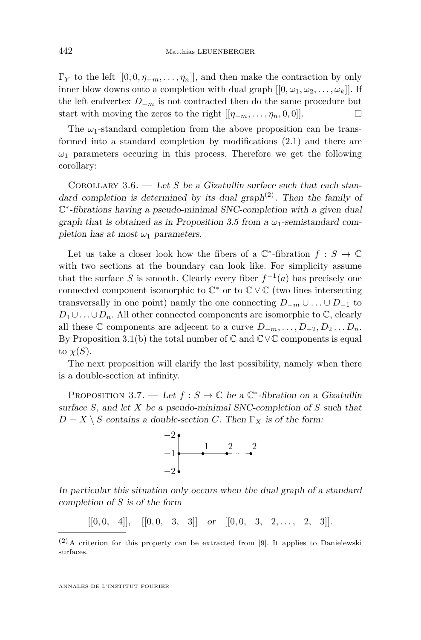$\Gamma_Y$  to the left  $[[0, 0, \eta_{-m}, \ldots, \eta_n]]$ , and then make the contraction by only inner blow downs onto a completion with dual graph  $[[0, \omega_1, \omega_2, \ldots, \omega_k]]$ . If the left endvertex  $D_{-m}$  is not contracted then do the same procedure but start with moving the zeros to the right  $[[\eta_{-m}, \ldots, \eta_n, 0, 0]].$ 

The  $\omega_1$ -standard completion from the above proposition can be transformed into a standard completion by modifications [\(2.1\)](#page-5-0) and there are  $\omega_1$  parameters occuring in this process. Therefore we get the following corollary:

COROLLARY 3.6. — Let *S* be a Gizatullin surface such that each standard completion is determined by its dual graph<sup>(2)</sup>. Then the family of C ∗ -fibrations having a pseudo-minimal SNC-completion with a given dual graph that is obtained as in Proposition [3.5](#page-8-0) from a  $\omega_1$ -semistandard completion has at most  $\omega_1$  parameters.

Let us take a closer look how the fibers of a  $\mathbb{C}^*$ -fibration  $f : S \to \mathbb{C}$ with two sections at the boundary can look like. For simplicity assume that the surface *S* is smooth. Clearly every fiber  $f^{-1}(a)$  has precisely one connected component isomorphic to  $\mathbb{C}^*$  or to  $\mathbb{C} \vee \mathbb{C}$  (two lines intersecting transversally in one point) namly the one connecting  $D_{-m} \cup \ldots \cup D_{-1}$  to  $D_1 \cup \ldots \cup D_n$ . All other connected components are isomorphic to  $\mathbb{C}$ , clearly all these  $\mathbb C$  components are adjecent to a curve  $D_{-m}, \ldots, D_{-2}, D_2, \ldots, D_n$ . By Proposition [3.1\(](#page-6-1)b) the total number of  $\mathbb C$  and  $\mathbb C \vee \mathbb C$  components is equal to  $\chi(S)$ .

The next proposition will clarify the last possibility, namely when there is a double-section at infinity.

<span id="page-10-0"></span>PROPOSITION 3.7. — Let  $f : S \to \mathbb{C}$  be a  $\mathbb{C}^*$ -fibration on a Gizatullin surface *S*, and let *X* be a pseudo-minimal SNC-completion of *S* such that  $D = X \setminus S$  contains a double-section *C*. Then  $\Gamma_X$  is of the form:



In particular this situation only occurs when the dual graph of a standard completion of *S* is of the form

$$
[[0,0,-4]], \quad [[0,0,-3,-3]] \quad \text{or} \quad [[0,0,-3,-2,\ldots,-2,-3]].
$$

 $(2)$ A criterion for this property can be extracted from [\[9\]](#page-21-6). It applies to Danielewski surfaces.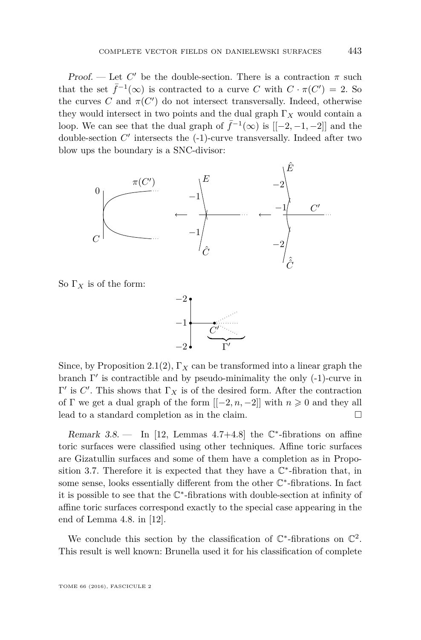Proof. — Let  $C'$  be the double-section. There is a contraction  $\pi$  such that the set  $\bar{f}^{-1}(\infty)$  is contracted to a curve *C* with  $C \cdot \pi(C') = 2$ . So the curves  $C$  and  $\pi(C')$  do not intersect transversally. Indeed, otherwise they would intersect in two points and the dual graph  $\Gamma_X$  would contain a loop. We can see that the dual graph of  $\bar{f}^{-1}(\infty)$  is  $[[-2, -1, -2]]$  and the double-section  $C'$  intersects the  $(-1)$ -curve transversally. Indeed after two blow ups the boundary is a SNC-divisor:



So  $\Gamma_X$  is of the form:



Since, by Proposition [2.1\(](#page-6-2)2),  $\Gamma_X$  can be transformed into a linear graph the branch  $\Gamma'$  is contractible and by pseudo-minimality the only  $(-1)$ -curve in  $Γ'$  is *C'*. This shows that  $Γ<sub>X</sub>$  is of the desired form. After the contraction of  $\Gamma$  we get a dual graph of the form  $[-2, n, -2]$  with  $n \geq 0$  and they all lead to a standard completion as in the claim.

Remark  $3.8.$  — In [\[12,](#page-22-2) Lemmas  $4.7+4.8$ ] the  $\mathbb{C}^*$ -fibrations on affine toric surfaces were classified using other techniques. Affine toric surfaces are Gizatullin surfaces and some of them have a completion as in Propo-sition [3.7.](#page-10-0) Therefore it is expected that they have a  $\mathbb{C}^*$ -fibration that, in some sense, looks essentially different from the other  $\mathbb{C}^*$ -fibrations. In fact it is possible to see that the  $\mathbb{C}^*$ -fibrations with double-section at infinity of affine toric surfaces correspond exactly to the special case appearing in the end of Lemma 4.8. in [\[12\]](#page-22-2).

We conclude this section by the classification of  $\mathbb{C}^*$ -fibrations on  $\mathbb{C}^2$ . This result is well known: Brunella used it for his classification of complete

TOME 66 (2016), FASCICULE 2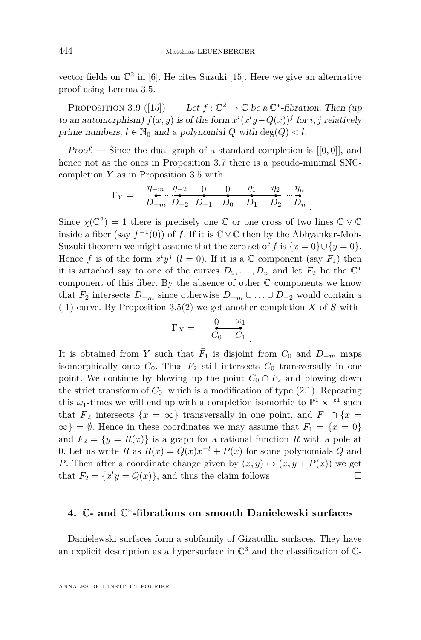vector fields on  $\mathbb{C}^2$  in [\[6\]](#page-21-1). He cites Suzuki [\[15\]](#page-22-1). Here we give an alternative proof using Lemma [3.5.](#page-8-0)

<span id="page-12-0"></span>PROPOSITION 3.9 ([\[15\]](#page-22-1)). — Let  $f : \mathbb{C}^2 \to \mathbb{C}$  be a  $\mathbb{C}^*$ -fibration. Then (up to an automorphism)  $f(x, y)$  is of the form  $x^{i}(x^{l}y - Q(x))^{j}$  for *i*, *j* relatively prime numbers,  $l \in \mathbb{N}_0$  and a polynomial *Q* with deg(*Q*) < *l*.

Proof. — Since the dual graph of a standard completion is [[0*,* 0]], and hence not as the ones in Proposition [3.7](#page-10-0) there is a pseudo-minimal SNCcompletion *Y* as in Proposition [3.5](#page-8-0) with

$$
\Gamma_Y = \begin{array}{c} \eta_{-m} \quad \eta_{-2} \quad 0 \quad 0 \quad \eta_1 \quad \eta_2 \quad \eta_n \\ D_{-m} \ D_{-2} \ D_{-1} \quad D_0 \quad D_1 \quad D_2 \quad D_n \end{array}
$$

.

Since  $\chi(\mathbb{C}^2) = 1$  there is precisely one  $\mathbb C$  or one cross of two lines  $\mathbb C \vee \mathbb C$ inside a fiber (say  $f^{-1}(0)$ ) of f. If it is  $\mathbb{C} \vee \mathbb{C}$  then by the Abhyankar-Moh-Suzuki theorem we might assume that the zero set of *f* is  $\{x = 0\} \cup \{y = 0\}$ . Hence *f* is of the form  $x^i y^j$  (*l* = 0). If it is a  $\mathbb C$  component (say  $F_1$ ) then it is attached say to one of the curves  $D_2, \ldots, D_n$  and let  $F_2$  be the  $\mathbb{C}^*$ component of this fiber. By the absence of other C components we know that  $\bar{F}_2$  intersects  $D_{-m}$  since otherwise  $D_{-m} \cup \ldots \cup D_{-2}$  would contain a (-1)-curve. By Proposition [3.5\(](#page-8-0)2) we get another completion *X* of *S* with

$$
\Gamma_X = \begin{array}{cc} 0 & \omega_1 \\ \overline{C_0} & \overline{C_1} \end{array}.
$$

It is obtained from *Y* such that  $\overline{F}_1$  is disjoint from  $C_0$  and  $D_{-m}$  maps isomorphically onto  $C_0$ . Thus  $\overline{F}_2$  still intersects  $C_0$  transversally in one point. We continue by blowing up the point  $C_0 \cap \overline{F}_2$  and blowing down the strict transform of  $C_0$ , which is a modification of type  $(2.1)$ . Repeating this  $\omega_1$ -times we will end up with a completion isomorhic to  $\mathbb{P}^1 \times \mathbb{P}^1$  such that  $\overline{F}_2$  intersects  $\{x = \infty\}$  transversally in one point, and  $\overline{F}_1 \cap \{x =$  $\infty$ } =  $\emptyset$ . Hence in these coordinates we may assume that  $F_1 = \{x = 0\}$ and  $F_2 = \{y = R(x)\}\$ is a graph for a rational function R with a pole at 0. Let us write *R* as  $R(x) = Q(x)x^{-l} + P(x)$  for some polynomials *Q* and *P*. Then after a coordinate change given by  $(x, y) \mapsto (x, y + P(x))$  we get that  $F_2 = \{x^l y = Q(x)\}\$ , and thus the claim follows.

# **4.** C**- and** C ∗ **-fibrations on smooth Danielewski surfaces**

Danielewski surfaces form a subfamily of Gizatullin surfaces. They have an explicit description as a hypersurface in  $\mathbb{C}^3$  and the classification of  $\mathbb{C}$ -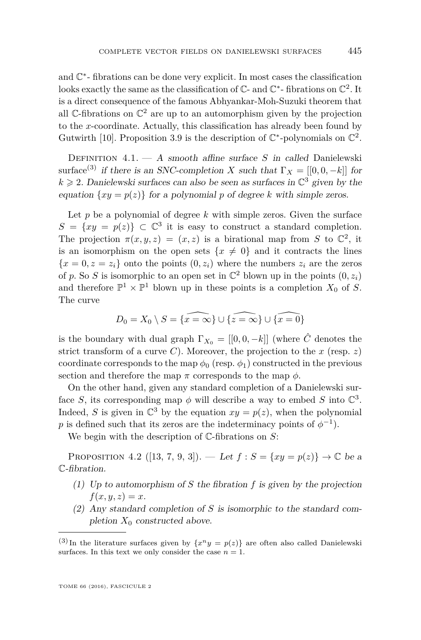and C ∗ - fibrations can be done very explicit. In most cases the classification looks exactly the same as the classification of  $\mathbb{C}$ - and  $\mathbb{C}^*$ - fibrations on  $\mathbb{C}^2$ . It is a direct consequence of the famous Abhyankar-Moh-Suzuki theorem that all  $\mathbb C$ -fibrations on  $\mathbb C^2$  are up to an automorphism given by the projection to the *x*-coordinate. Actually, this classification has already been found by Gutwirth [\[10\]](#page-21-9). Proposition [3.9](#page-12-0) is the description of  $\mathbb{C}^*$ -polynomials on  $\mathbb{C}^2$ .

Definition 4.1. — A smooth affine surface *S* in called Danielewski surface<sup>(3)</sup> if there is an SNC-completion *X* such that  $\Gamma_X = [[0,0,-k]]$  for  $k \geq 2$ . Danielewski surfaces can also be seen as surfaces in  $\mathbb{C}^3$  given by the equation  $\{xy = p(z)\}\$  for a polynomial *p* of degree *k* with simple zeros.

Let  $p$  be a polynomial of degree  $k$  with simple zeros. Given the surface  $S = \{xy = p(z)\}\subset \mathbb{C}^3$  it is easy to construct a standard completion. The projection  $\pi(x, y, z) = (x, z)$  is a birational map from *S* to  $\mathbb{C}^2$ , it is an isomorphism on the open sets  $\{x \neq 0\}$  and it contracts the lines  ${x = 0, z = z_i}$  onto the points  $(0, z_i)$  where the numbers  $z_i$  are the zeros of p. So S is isomorphic to an open set in  $\mathbb{C}^2$  blown up in the points  $(0, z_i)$ and therefore  $\mathbb{P}^1 \times \mathbb{P}^1$  blown up in these points is a completion  $X_0$  of S. The curve

$$
D_0 = X_0 \setminus S = \{x = \infty\} \cup \{\widehat{x = \infty}\} \cup \{\widehat{x = 0}\}
$$

is the boundary with dual graph  $\Gamma_{X_0} = [[0,0,-k]]$  (where  $\hat{C}$  denotes the strict transform of a curve *C*). Moreover, the projection to the  $x$  (resp.  $z$ ) coordinate corresponds to the map  $\phi_0$  (resp.  $\phi_1$ ) constructed in the previous section and therefore the map  $\pi$  corresponds to the map  $\phi$ .

On the other hand, given any standard completion of a Danielewski surface *S*, its corresponding map  $\phi$  will describe a way to embed *S* into  $\mathbb{C}^3$ . Indeed, *S* is given in  $\mathbb{C}^3$  by the equation  $xy = p(z)$ , when the polynomial *p* is defined such that its zeros are the indeterminacy points of  $\phi^{-1}$ ).

We begin with the description of C-fibrations on *S*:

<span id="page-13-0"></span>PROPOSITION 4.2 ([\[13,](#page-22-3) [7,](#page-21-5) [9,](#page-21-6) [3\]](#page-21-10)). — Let  $f : S = \{xy = p(z)\} \to \mathbb{C}$  be a C-fibration.

- (1) Up to automorphism of *S* the fibration *f* is given by the projection  $f(x, y, z) = x$ .
- (2) Any standard completion of *S* is isomorphic to the standard completion  $X_0$  constructed above.

<sup>&</sup>lt;sup>(3)</sup> In the literature surfaces given by  $\{x^n y = p(z)\}\$  are often also called Danielewski surfaces. In this text we only consider the case  $n = 1$ .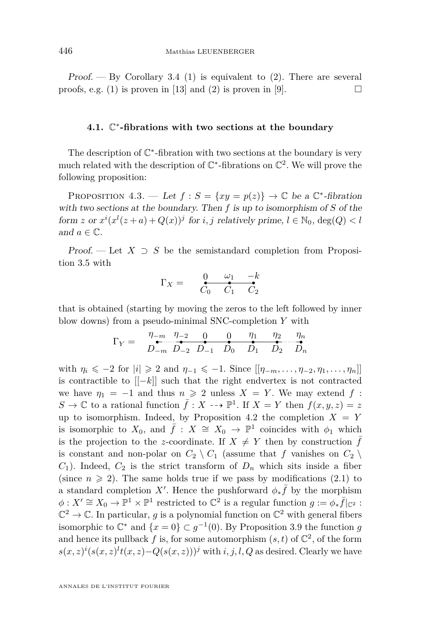Proof.  $-$  By Corollary [3.4](#page-8-1) (1) is equivalent to (2). There are several proofs, e.g. (1) is proven in [\[13\]](#page-22-3) and (2) is proven in [\[9\]](#page-21-6).  $\Box$ 

### **4.1.** C ∗ **-fibrations with two sections at the boundary**

The description of  $\mathbb{C}^*$ -fibration with two sections at the boundary is very much related with the description of  $\mathbb{C}^*$ -fibrations on  $\mathbb{C}^2$ . We will prove the following proposition:

PROPOSITION 4.3. — Let  $f : S = \{xy = p(z)\} \rightarrow \mathbb{C}$  be a  $\mathbb{C}^*$ -fibration with two sections at the boundary. Then *f* is up to isomorphism of *S* of the form *z* or  $x^{i}(x^{l}(z+a) + Q(x))^{j}$  for *i*, *j* relatively prime,  $l \in \mathbb{N}_{0}$ ,  $\text{deg}(Q) < l$ and  $a \in \mathbb{C}$ .

Proof. — Let  $X \supset S$  be the semistandard completion from Proposition [3.5](#page-8-0) with

$$
\Gamma_X = \begin{array}{cc} 0 & \omega_1 & -k \\ C_0 & C_1 & C_2 \end{array}
$$

that is obtained (starting by moving the zeros to the left followed by inner blow downs) from a pseudo-minimal SNC-completion *Y* with

$$
\Gamma_Y = \begin{array}{c} \eta_{-m} & \eta_{-2} & 0 & 0 & \eta_1 & \eta_2 & \eta_n \\ D_{-m} & D_{-2} & D_{-1} & D_0 & D_1 & D_2 & D_n \end{array}
$$

with  $\eta_i \leq -2$  for  $|i| \geq 2$  and  $\eta_{-1} \leq -1$ . Since  $[[\eta_{-m}, \ldots, \eta_{-2}, \eta_1, \ldots, \eta_n]]$ is contractible to [[−*k*]] such that the right endvertex is not contracted we have  $\eta_1 = -1$  and thus  $n \geq 2$  unless  $X = Y$ . We may extend f:  $S \to \mathbb{C}$  to a rational function  $\bar{f}: X \dashrightarrow \mathbb{P}^1$ . If  $X = Y$  then  $f(x, y, z) = z$ up to isomorphism. Indeed, by Proposition [4.2](#page-13-0) the completion  $X = Y$ is isomorphic to  $X_0$ , and  $\bar{f}: X \cong X_0 \to \mathbb{P}^1$  coincides with  $\phi_1$  which is the projection to the *z*-coordinate. If  $X \neq Y$  then by construction f is constant and non-polar on  $C_2 \setminus C_1$  (assume that *f* vanishes on  $C_2 \setminus C_2$  $C_1$ ). Indeed,  $C_2$  is the strict transform of  $D_n$  which sits inside a fiber (since  $n \geq 2$ ). The same holds true if we pass by modifications [\(2.1\)](#page-5-0) to a standard completion X'. Hence the pushforward  $\phi_*\bar{f}$  by the morphism  $\phi: X' \cong X_0 \to \mathbb{P}^1 \times \mathbb{P}^1$  restricted to  $\mathbb{C}^2$  is a regular function  $g := \phi_* \overline{f}|_{\mathbb{C}^2}$ :  $\mathbb{C}^2 \to \mathbb{C}$ . In particular, g is a polynomial function on  $\mathbb{C}^2$  with general fibers isomorphic to  $\mathbb{C}^*$  and  $\{x = 0\} \subset g^{-1}(0)$ . By Proposition [3.9](#page-12-0) the function *g* and hence its pullback  $f$  is, for some automorphism  $(s, t)$  of  $\mathbb{C}^2$ , of the form  $s(x, z)^{i} (s(x, z)^{l} t(x, z) - Q(s(x, z)))^{j}$  with *i, j, l, Q* as desired. Clearly we have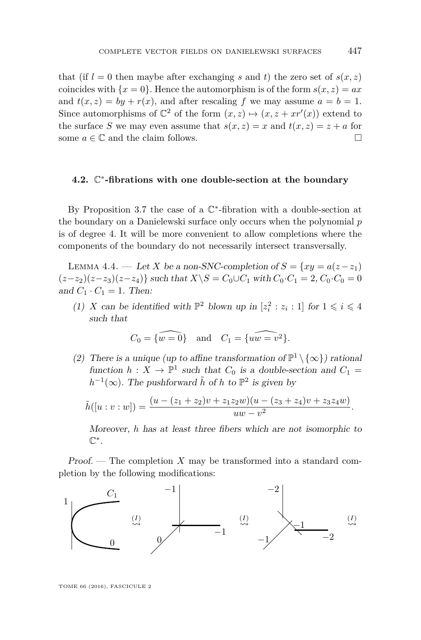that (if  $l = 0$  then maybe after exchanging *s* and *t*) the zero set of  $s(x, z)$ coincides with  ${x = 0}$ . Hence the automorphism is of the form  $s(x, z) = ax$ and  $t(x, z) = by + r(x)$ , and after rescaling f we may assume  $a = b = 1$ . Since automorphisms of  $\mathbb{C}^2$  of the form  $(x, z) \mapsto (x, z + xr'(x))$  extend to the surface *S* we may even assume that  $s(x, z) = x$  and  $t(x, z) = z + a$  for some  $a \in \mathbb{C}$  and the claim follows.

### **4.2.** C ∗ **-fibrations with one double-section at the boundary**

By Proposition [3.7](#page-10-0) the case of a  $\mathbb{C}^*$ -fibration with a double-section at the boundary on a Danielewski surface only occurs when the polynomial *p* is of degree 4. It will be more convenient to allow completions where the components of the boundary do not necessarily intersect transversally.

<span id="page-15-0"></span>LEMMA 4.4. — Let *X* be a non-SNC-completion of  $S = \{xy = a(z - z_1)\}$  $(z-z_2)(z-z_3)(z-z_4)$ } such that  $X\ S = C_0 ∪ C_1$  with  $C_0 �cdot C_1 = 2, C_0 ⋅ C_0 = 0$ and  $C_1 \cdot C_1 = 1$ . Then:

(1) *X* can be identified with  $\mathbb{P}^2$  blown up in  $[z_i^2 : z_i : 1]$  for  $1 \leq i \leq 4$ such that

$$
C_0 = \widehat{\{w = 0\}} \quad \text{and} \quad C_1 = \widehat{\{uw = v^2\}}.
$$

(2) There is a unique (up to affine transformation of  $\mathbb{P}^1 \setminus {\infty}$ ) rational function  $h: X \to \mathbb{P}^1$  such that  $C_0$  is a double-section and  $C_1 =$  $h^{-1}(\infty)$ . The pushforward  $\tilde{h}$  of *h* to  $\mathbb{P}^2$  is given by

$$
\tilde{h}([u:v:w]) = \frac{(u - (z_1 + z_2)v + z_1z_2w)(u - (z_3 + z_4)v + z_3z_4w)}{uw - v^2}.
$$

Moreover, *h* has at least three fibers which are not isomorphic to C ∗ .

Proof. — The completion *X* may be transformed into a standard completion by the following modifications:

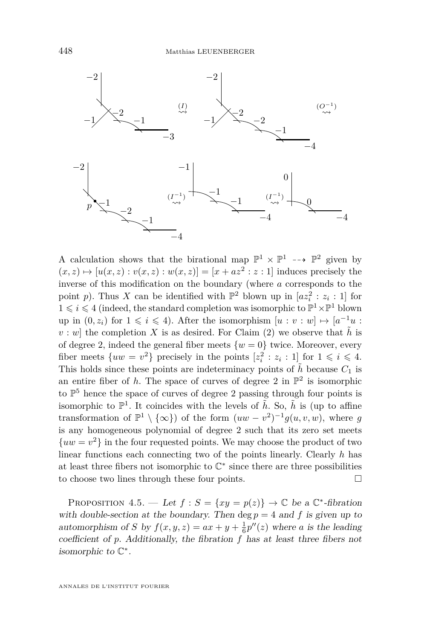

A calculation shows that the birational map  $\mathbb{P}^1 \times \mathbb{P}^1 \dashrightarrow \mathbb{P}^2$  given by  $(x, z) \mapsto [u(x, z) : v(x, z) : w(x, z)] = [x + az^2 : z : 1]$  induces precisely the inverse of this modification on the boundary (where *a* corresponds to the point *p*). Thus *X* can be identified with  $\mathbb{P}^2$  blown up in  $[az_i^2 : z_i : 1]$  for  $1 \leqslant i \leqslant 4$  (indeed, the standard completion was isomorphic to  $\mathbb{P}^1 \times \mathbb{P}^1$  blown up in  $(0, z_i)$  for  $1 \leq i \leq 4$ ). After the isomorphism  $[u : v : w] \mapsto [a^{-1}u :$  $v: w$  the completion *X* is as desired. For Claim (2) we observe that  $\tilde{h}$  is of degree 2, indeed the general fiber meets  $\{w = 0\}$  twice. Moreover, every fiber meets  $\{uw = v^2\}$  precisely in the points  $[z_i^2 : z_i : 1]$  for  $1 \leq i \leq 4$ . This holds since these points are indeterminacy points of  $\tilde{h}$  because  $C_1$  is an entire fiber of  $h$ . The space of curves of degree 2 in  $\mathbb{P}^2$  is isomorphic to  $\mathbb{P}^5$  hence the space of curves of degree 2 passing through four points is isomorphic to  $\mathbb{P}^1$ . It coincides with the levels of  $\tilde{h}$ . So,  $\tilde{h}$  is (up to affine transformation of  $\mathbb{P}^1 \setminus {\infty}$  of the form  $(uw - v^2)^{-1} g(u, v, w)$ , where g is any homogeneous polynomial of degree 2 such that its zero set meets  ${uw = v<sup>2</sup>}$  in the four requested points. We may choose the product of two linear functions each connecting two of the points linearly. Clearly *h* has at least three fibers not isomorphic to  $\mathbb{C}^*$  since there are three possibilities to choose two lines through these four points.

<span id="page-16-0"></span>PROPOSITION 4.5. — Let  $f : S = \{xy = p(z)\} \rightarrow \mathbb{C}$  be a  $\mathbb{C}^*$ -fibration with double-section at the boundary. Then  $\deg p = 4$  and f is given up to automorphism of *S* by  $f(x, y, z) = ax + y + \frac{1}{6}p''(z)$  where *a* is the leading coefficient of *p*. Additionally, the fibration *f* has at least three fibers not isomorphic to  $\mathbb{C}^*$ .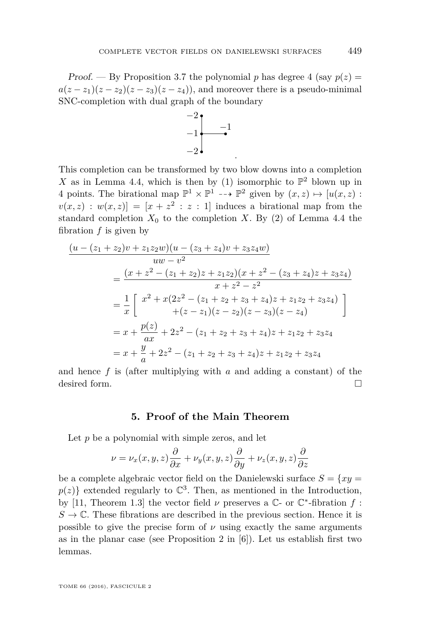Proof. — By Proposition [3.7](#page-10-0) the polynomial p has degree 4 (say  $p(z) =$  $a(z-z_1)(z-z_2)(z-z_3)(z-z_4)$ , and moreover there is a pseudo-minimal SNC-completion with dual graph of the boundary



.

This completion can be transformed by two blow downs into a completion X as in Lemma [4.4,](#page-15-0) which is then by (1) isomorphic to  $\mathbb{P}^2$  blown up in 4 points. The birational map  $\mathbb{P}^1 \times \mathbb{P}^1 \dashrightarrow \mathbb{P}^2$  given by  $(x, z) \mapsto [u(x, z) :$  $v(x, z) : w(x, z) = [x + z^2 : z : 1]$  induces a birational map from the standard completion  $X_0$  to the completion *X*. By (2) of Lemma [4.4](#page-15-0) the fibration *f* is given by

$$
\frac{(u - (z_1 + z_2)v + z_1z_2w)(u - (z_3 + z_4)v + z_3z_4w)}{uw - v^2}
$$
\n
$$
= \frac{(x + z^2 - (z_1 + z_2)z + z_1z_2)(x + z^2 - (z_3 + z_4)z + z_3z_4)}{x + z^2 - z^2}
$$
\n
$$
= \frac{1}{x} \left[ x^2 + x(2z^2 - (z_1 + z_2 + z_3 + z_4)z + z_1z_2 + z_3z_4) + (z - z_1)(z - z_2)(z - z_3)(z - z_4) \right]
$$
\n
$$
= x + \frac{p(z)}{ax} + 2z^2 - (z_1 + z_2 + z_3 + z_4)z + z_1z_2 + z_3z_4
$$
\n
$$
= x + \frac{y}{a} + 2z^2 - (z_1 + z_2 + z_3 + z_4)z + z_1z_2 + z_3z_4
$$

and hence *f* is (after multiplying with *a* and adding a constant) of the desired form.

#### **5. Proof of the Main Theorem**

Let *p* be a polynomial with simple zeros, and let

$$
\nu = \nu_x(x,y,z)\frac{\partial}{\partial x} + \nu_y(x,y,z)\frac{\partial}{\partial y} + \nu_z(x,y,z)\frac{\partial}{\partial z}
$$

be a complete algebraic vector field on the Danielewski surface  $S = \{xy =$  $p(z)$ } extended regularly to  $\mathbb{C}^3$ . Then, as mentioned in the Introduction, by [\[11,](#page-21-4) Theorem 1.3] the vector field  $\nu$  preserves a  $\mathbb{C}$ - or  $\mathbb{C}^*$ -fibration  $f$ :  $S \to \mathbb{C}$ . These fibrations are described in the previous section. Hence it is possible to give the precise form of  $\nu$  using exactly the same arguments as in the planar case (see Proposition 2 in [\[6\]](#page-21-1)). Let us establish first two lemmas.

TOME 66 (2016), FASCICULE 2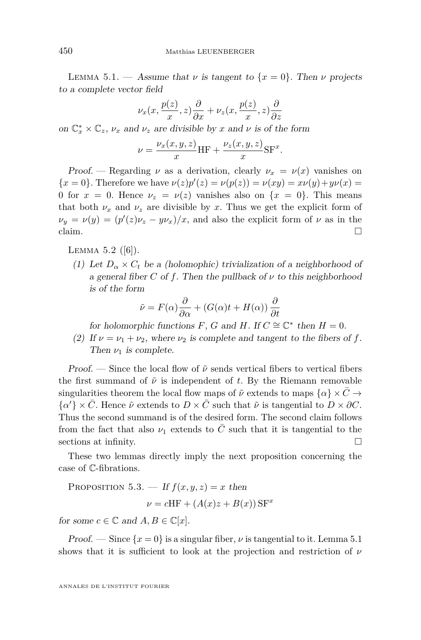<span id="page-18-0"></span>LEMMA 5.1. — Assume that  $\nu$  is tangent to  $\{x = 0\}$ . Then  $\nu$  projects to a complete vector field

$$
\nu_x(x, \frac{p(z)}{x}, z) \frac{\partial}{\partial x} + \nu_z(x, \frac{p(z)}{x}, z) \frac{\partial}{\partial z}
$$

on  $\mathbb{C}_x^* \times \mathbb{C}_z$ ,  $\nu_x$  and  $\nu_z$  are divisible by *x* and *v* is of the form

$$
\nu = \frac{\nu_x(x, y, z)}{x} \text{HF} + \frac{\nu_z(x, y, z)}{x} \text{SF}^x.
$$

Proof. — Regarding  $\nu$  as a derivation, clearly  $\nu_x = \nu(x)$  vanishes on { $x = 0$ }. Therefore we have  $\nu(z)p'(z) = \nu(p(z)) = \nu(xy) = x\nu(y) + y\nu(x) =$ 0 for  $x = 0$ . Hence  $\nu_z = \nu(z)$  vanishes also on  $\{x = 0\}$ . This means that both  $\nu_x$  and  $\nu_z$  are divisible by x. Thus we get the explicit form of  $\nu_y = \nu(y) = (p'(z)\nu_z - y\nu_x)/x$ , and also the explicit form of *ν* as in the claim.  $\Box$ 

<span id="page-18-1"></span>Lemma 5.2 ([\[6\]](#page-21-1)).

(1) Let  $D_{\alpha} \times C_t$  be a (holomophic) trivialization of a neighborhood of a general fiber *C* of *f*. Then the pullback of  $\nu$  to this neighborhood is of the form

$$
\tilde{\nu} = F(\alpha)\frac{\partial}{\partial \alpha} + (G(\alpha)t + H(\alpha))\frac{\partial}{\partial t}
$$

for holomorphic functions *F*, *G* and *H*. If  $C \cong \mathbb{C}^*$  then  $H = 0$ .

(2) If  $\nu = \nu_1 + \nu_2$ , where  $\nu_2$  is complete and tangent to the fibers of f. Then  $\nu_1$  is complete.

Proof. — Since the local flow of  $\tilde{\nu}$  sends vertical fibers to vertical fibers the first summand of  $\tilde{\nu}$  is independent of *t*. By the Riemann removable singularities theorem the local flow maps of  $\tilde{\nu}$  extends to maps  $\{\alpha\} \times C \rightarrow$  $\{\alpha'\}\times\bar{C}$ . Hence  $\tilde{\nu}$  extends to  $D\times\bar{C}$  such that  $\tilde{\nu}$  is tangential to  $D\times\partial C$ . Thus the second summand is of the desired form. The second claim follows from the fact that also  $\nu_1$  extends to  $\overline{C}$  such that it is tangential to the sections at infinity.

These two lemmas directly imply the next proposition concerning the case of C-fibrations.

PROPOSITION 5.3. — If 
$$
f(x, y, z) = x
$$
 then  

$$
\nu = cHF + (A(x)z + B(x)) \text{SF}^x
$$

for some  $c \in \mathbb{C}$  and  $A, B \in \mathbb{C}[x]$ .

Proof. — Since  $\{x=0\}$  is a singular fiber,  $\nu$  is tangential to it. Lemma [5.1](#page-18-0) shows that it is sufficient to look at the projection and restriction of *ν*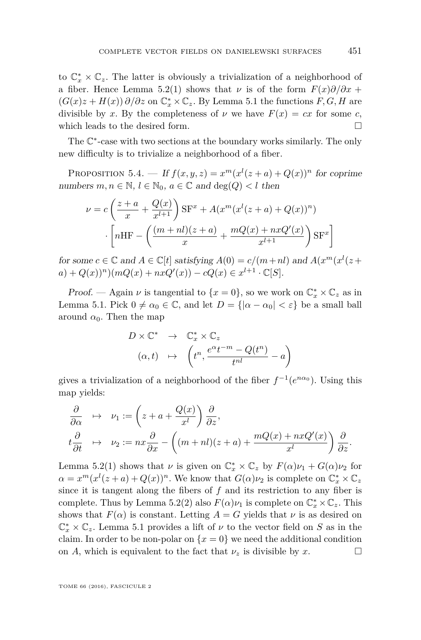to  $\mathbb{C}_x^* \times \mathbb{C}_z$ . The latter is obviously a trivialization of a neighborhood of a fiber. Hence Lemma [5.2\(](#page-18-1)1) shows that  $\nu$  is of the form  $F(x)\partial/\partial x$  +  $(G(x)z + H(x))$  ∂/∂z on  $\mathbb{C}^*_x \times \mathbb{C}_z$ . By Lemma [5.1](#page-18-0) the functions  $F, G, H$  are divisible by *x*. By the completeness of  $\nu$  we have  $F(x) = cx$  for some *c*, which leads to the desired form.  $\Box$ 

The  $\mathbb{C}^*$ -case with two sections at the boundary works similarly. The only new difficulty is to trivialize a neighborhood of a fiber.

PROPOSITION 5.4. — If  $f(x, y, z) = x^m(x^l(z + a) + Q(x))^n$  for coprime numbers  $m, n \in \mathbb{N}, l \in \mathbb{N}_0, a \in \mathbb{C}$  and  $\deg(Q) < l$  then

$$
\nu = c \left( \frac{z+a}{x} + \frac{Q(x)}{x^{l+1}} \right) \mathbf{S} \mathbf{F}^x + A(x^m (x^l (z+a) + Q(x))^n)
$$

$$
\cdot \left[ n \mathbf{H} \mathbf{F} - \left( \frac{(m+nl)(z+a)}{x} + \frac{mQ(x) + nxQ'(x)}{x^{l+1}} \right) \mathbf{S} \mathbf{F}^x \right]
$$

for some  $c \in \mathbb{C}$  and  $A \in \mathbb{C}[t]$  satisfying  $A(0) = c/(m+nl)$  and  $A(x^m(x^l(z +$  $a) + Q(x))^n$  $\big( mQ(x) + nxQ'(x) \big) - cQ(x) \in x^{l+1} \cdot \mathbb{C}[S].$ 

*Proof.* — Again  $\nu$  is tangential to  $\{x = 0\}$ , so we work on  $\mathbb{C}_x^* \times \mathbb{C}_z$  as in Lemma [5.1.](#page-18-0) Pick  $0 \neq \alpha_0 \in \mathbb{C}$ , and let  $D = \{|\alpha - \alpha_0| < \varepsilon\}$  be a small ball around  $\alpha_0$ . Then the map

$$
D \times \mathbb{C}^* \rightarrow \mathbb{C}_x^* \times \mathbb{C}_z
$$
  

$$
(\alpha, t) \mapsto \left(t^n, \frac{e^{\alpha}t^{-m} - Q(t^n)}{t^{nl}} - a\right)
$$

gives a trivialization of a neighborhood of the fiber  $f^{-1}(e^{n\alpha_0})$ . Using this map yields:

$$
\frac{\partial}{\partial \alpha} \quad \mapsto \quad \nu_1 := \left( z + a + \frac{Q(x)}{x^l} \right) \frac{\partial}{\partial z},
$$
\n
$$
t \frac{\partial}{\partial t} \quad \mapsto \quad \nu_2 := nx \frac{\partial}{\partial x} - \left( (m + nl)(z + a) + \frac{mQ(x) + nxQ'(x)}{x^l} \right) \frac{\partial}{\partial z}.
$$

Lemma [5.2\(](#page-18-1)1) shows that  $\nu$  is given on  $\mathbb{C}_x^* \times \mathbb{C}_z$  by  $F(\alpha)\nu_1 + G(\alpha)\nu_2$  for  $\alpha = x^m(x^l(z+a) + Q(x))^n$ . We know that  $G(\alpha)\nu_2$  is complete on  $\mathbb{C}^*_x \times \mathbb{C}_z$ since it is tangent along the fibers of *f* and its restriction to any fiber is complete. Thus by Lemma [5.2\(](#page-18-1)2) also  $F(\alpha)\nu_1$  is complete on  $\mathbb{C}_x^* \times \mathbb{C}_z$ . This shows that  $F(\alpha)$  is constant. Letting  $A = G$  yields that  $\nu$  is as desired on  $\mathbb{C}_x^* \times \mathbb{C}_z$ . Lemma [5.1](#page-18-0) provides a lift of  $\nu$  to the vector field on *S* as in the claim. In order to be non-polar on  $\{x=0\}$  we need the additional condition on *A*, which is equivalent to the fact that  $\nu_z$  is divisible by  $x$ .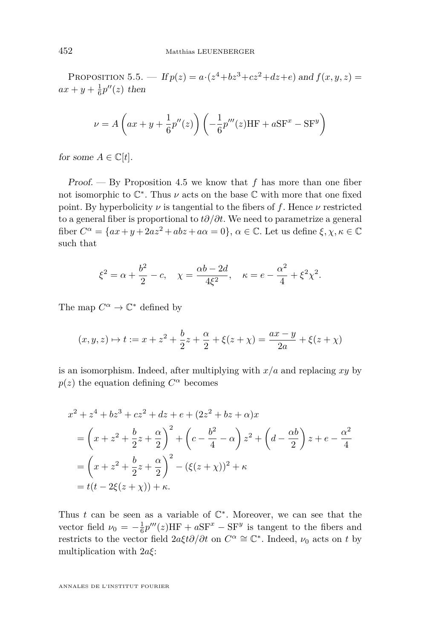PROPOSITION 5.5. — If  $p(z) = a \cdot (z^4 + bz^3 + cz^2 + dz + e)$  and  $f(x, y, z) =$  $ax + y + \frac{1}{6}p''(z)$  then

$$
\nu = A\left(ax + y + \frac{1}{6}p''(z)\right)\left(-\frac{1}{6}p'''(z)HF + aSF^x - SF^y\right)
$$

for some  $A \in \mathbb{C}[t]$ .

Proof. — By Proposition [4.5](#page-16-0) we know that *f* has more than one fiber not isomorphic to  $\mathbb{C}^*$ . Thus  $\nu$  acts on the base  $\mathbb C$  with more that one fixed point. By hyperbolicity  $\nu$  is tangential to the fibers of  $f$ . Hence  $\nu$  restricted to a general fiber is proportional to *t∂/∂t*. We need to parametrize a general fiber  $C^{\alpha} = \{ax + y + 2az^2 + abz + a\alpha = 0\}, \alpha \in \mathbb{C}$ . Let us define  $\xi, \chi, \kappa \in \mathbb{C}$ such that

$$
\xi^2 = \alpha + \frac{b^2}{2} - c
$$
,  $\chi = \frac{\alpha b - 2d}{4\xi^2}$ ,  $\kappa = e - \frac{\alpha^2}{4} + \xi^2 \chi^2$ .

The map  $C^{\alpha} \to \mathbb{C}^*$  defined by

$$
(x, y, z) \mapsto t := x + z^2 + \frac{b}{2}z + \frac{\alpha}{2} + \xi(z + \chi) = \frac{ax - y}{2a} + \xi(z + \chi)
$$

is an isomorphism. Indeed, after multiplying with *x/a* and replacing *xy* by  $p(z)$  the equation defining  $C^{\alpha}$  becomes

$$
x^{2} + z^{4} + bz^{3} + cz^{2} + dz + e + (2z^{2} + bz + \alpha)x
$$
  
=  $\left(x + z^{2} + \frac{b}{2}z + \frac{\alpha}{2}\right)^{2} + \left(c - \frac{b^{2}}{4} - \alpha\right)z^{2} + \left(d - \frac{\alpha b}{2}\right)z + e - \frac{\alpha^{2}}{4}$   
=  $\left(x + z^{2} + \frac{b}{2}z + \frac{\alpha}{2}\right)^{2} - (\xi(z + \chi))^{2} + \kappa$   
=  $t(t - 2\xi(z + \chi)) + \kappa$ .

Thus  $t$  can be seen as a variable of  $\mathbb{C}^*$ . Moreover, we can see that the vector field  $\nu_0 = -\frac{1}{6}p'''(z)HF + aSF^x - SF^y$  is tangent to the fibers and restricts to the vector field  $2a\xi t\partial/\partial t$  on  $C^{\alpha} \cong \mathbb{C}^*$ . Indeed,  $\nu_0$  acts on  $t$  by multiplication with 2*aξ*:

ANNALES DE L'INSTITUT FOURIER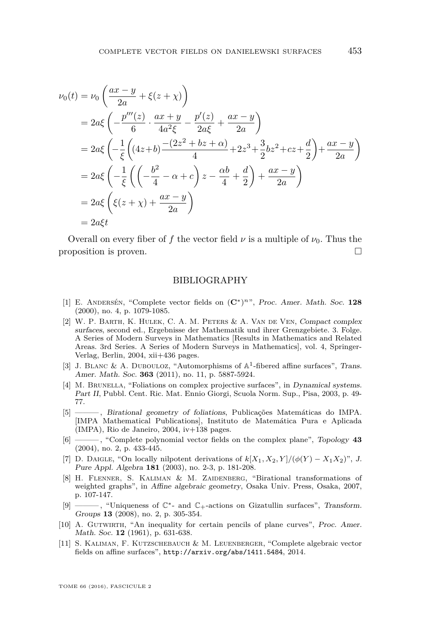$$
\nu_0(t) = \nu_0 \left( \frac{ax - y}{2a} + \xi(z + \chi) \right)
$$
  
=  $2a\xi \left( -\frac{p''(z)}{6} \cdot \frac{ax + y}{4a^2\xi} - \frac{p'(z)}{2a\xi} + \frac{ax - y}{2a} \right)$   
=  $2a\xi \left( -\frac{1}{\xi} \left( (4z + b) \frac{-(2z^2 + bz + \alpha)}{4} + 2z^3 + \frac{3}{2}bz^2 + cz + \frac{d}{2} \right) + \frac{ax - y}{2a} \right)$   
=  $2a\xi \left( -\frac{1}{\xi} \left( \left( -\frac{b^2}{4} - \alpha + c \right) z - \frac{\alpha b}{4} + \frac{d}{2} \right) + \frac{ax - y}{2a} \right)$   
=  $2a\xi \left( \xi(z + \chi) + \frac{ax - y}{2a} \right)$   
=  $2a\xi t$ 

Overall on every fiber of f the vector field  $\nu$  is a multiple of  $\nu_0$ . Thus the proposition is proven.

#### BIBLIOGRAPHY

- <span id="page-21-0"></span>[1] E. Andersén, "Complete vector fields on (**C**<sup>∗</sup> ) *<sup>n</sup>*", Proc. Amer. Math. Soc. **128** (2000), no. 4, p. 1079-1085.
- <span id="page-21-8"></span>[2] W. P. Barth, K. Hulek, C. A. M. Peters & A. Van de Ven, Compact complex surfaces, second ed., Ergebnisse der Mathematik und ihrer Grenzgebiete. 3. Folge. A Series of Modern Surveys in Mathematics [Results in Mathematics and Related Areas. 3rd Series. A Series of Modern Surveys in Mathematics], vol. 4, Springer-Verlag, Berlin, 2004, xii+436 pages.
- <span id="page-21-10"></span>[3] J. BLANC & A. DUBOULOZ, "Automorphisms of  $\mathbb{A}^1$ -fibered affine surfaces", Trans. Amer. Math. Soc. **363** (2011), no. 11, p. 5887-5924.
- <span id="page-21-3"></span>[4] M. BRUNELLA, "Foliations on complex projective surfaces", in Dynamical systems. Part II, Pubbl. Cent. Ric. Mat. Ennio Giorgi, Scuola Norm. Sup., Pisa, 2003, p. 49- 77.
- <span id="page-21-2"></span> $\overline{\phantom{C}}$ , Birational geometry of foliations, Publicações Matemáticas do IMPA. [IMPA Mathematical Publications], Instituto de Matemática Pura e Aplicada (IMPA), Rio de Janeiro, 2004, iv+138 pages.
- <span id="page-21-1"></span>[6] ——— , "Complete polynomial vector fields on the complex plane", Topology **43** (2004), no. 2, p. 433-445.
- <span id="page-21-5"></span>[7] D. DAIGLE, "On locally nilpotent derivations of  $k[X_1, X_2, Y]/(\phi(Y) - X_1X_2)$ ", J. Pure Appl. Algebra **181** (2003), no. 2-3, p. 181-208.
- <span id="page-21-7"></span>[8] H. Flenner, S. Kaliman & M. Zaidenberg, "Birational transformations of weighted graphs", in Affine algebraic geometry, Osaka Univ. Press, Osaka, 2007, p. 107-147.
- <span id="page-21-6"></span>[9] ——— , "Uniqueness of C∗- and C+-actions on Gizatullin surfaces", Transform. Groups **13** (2008), no. 2, p. 305-354.
- <span id="page-21-9"></span>[10] A. Gutwirth, "An inequality for certain pencils of plane curves", Proc. Amer. Math. Soc. **12** (1961), p. 631-638.
- <span id="page-21-4"></span>[11] S. Kaliman, F. Kutzschebauch & M. Leuenberger, "Complete algebraic vector fields on affine surfaces", <http://arxiv.org/abs/1411.5484>, 2014.